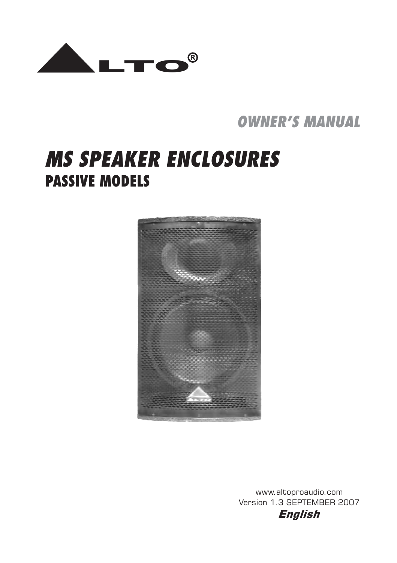

*OWNER'S MANUAL*

# **PASSIVE MODELS** *MS SPEAKER ENCLOSURES*



www.altoproaudio.com Version 1.3 SEPTEMBER 2007 *English*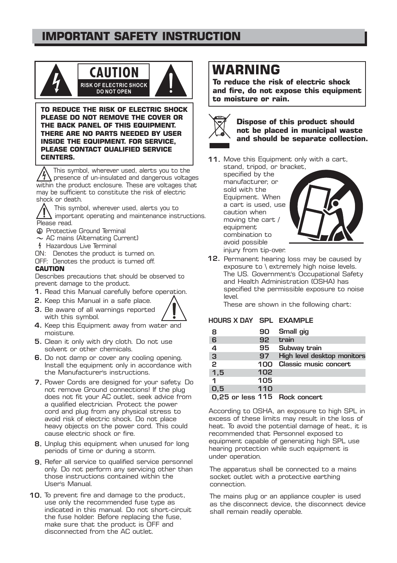### **IMPORTANT SAFETY INSTRUCTION**



**TO REDUCE THE RISK OF ELECTRIC SHOCK PLEASE DO NOT REMOVE THE COVER OR THE BACK PANEL OF THIS EQUIPMENT. THERE ARE NO PARTS NEEDED BY USER INSIDE THE EQUIPMENT. FOR SERVICE, PLEASE CONTACT QUALIFIED SERVICE CENTERS.**

This symbol, wherever used, alerts you to the presence of un-insulated and dangerous voltages within the product enclosure. These are voltages that may be sufficient to constitute the risk of electric shock or death.

This symbol, wherever used, alerts you to important operating and maintenance instructions. Please read.

- Protective Ground Terminal
- $\sim$  AC mains (Alternating Current)
- Hazardous Live Terminal
- ON: Denotes the product is turned on.
- OFF: Denotes the product is turned off.

#### **CAUTION**

Describes precautions that should be observed to prevent damage to the product.

- 1. Read this Manual carefully before operation.
- 2. Keep this Manual in a safe place.
- 3. Be aware of all warnings reported with this symbol.



- 4. Keep this Equipment away from water and moisture.
- 5. Clean it only with dry cloth. Do not use solvent or other chemicals.
- 6. Do not damp or cover any cooling opening. Install the equipment only in accordance with the Manufacturer's instructions.
- 7. Power Cords are designed for your safety. Do not remove Ground connections! If the plug does not fit your AC outlet, seek advice from a qualified electrician. Protect the power cord and plug from any physical stress to avoid risk of electric shock. Do not place heavy objects on the power cord. This could cause electric shock or fire.
- 8. Unplug this equipment when unused for long periods of time or during a storm.
- 9. Refer all service to qualified service personnel only. Do not perform any servicing other than those instructions contained within the User's Manual.
- 10. To prevent fire and damage to the product, use only the recommended fuse type as indicated in this manual. Do not short-circuit the fuse holder. Before replacing the fuse, make sure that the product is OFF and disconnected from the AC outlet.

# **WARNING**

**To reduce the risk of electric shock and fire, do not expose this equipment to moisture or rain.**



**Dispose of this product should not be placed in municipal waste and should be separate collection.**

11. Move this Equipment only with a cart,

stand, tripod, or bracket, specified by the manufacturer, or sold with the Equipment. When a cart is used, use caution when moving the cart / equipment combination to avoid possible injury from tip-over.



12. Permanent hearing loss may be caused by exposure to \ extremely high noise levels. The US. Government's Occupational Safety and Health Administration (OSHA) has specified the permissible exposure to noise level.

These are shown in the following chart:

#### HOURS X DAY SPL EXAMPLE

| 8              | 90  | Small gig                     |
|----------------|-----|-------------------------------|
| 6              | 92  | train                         |
| 4              | 95  | Subway train                  |
| $\overline{3}$ | 97  | High level desktop monitors   |
| $\overline{2}$ | 100 | <b>Classic music concert</b>  |
| 1,5            | 102 |                               |
| 1              | 105 |                               |
| 0,5            | 110 |                               |
|                |     | 0,25 or less 115 Rock concert |

According to OSHA, an exposure to high SPL in excess of these limits may result in the loss of heat. To avoid the potential damage of heat, it is recommended that Personnel exposed to equipment capable of generating high SPL use hearing protection while such equipment is under operation.

The apparatus shall be connected to a mains socket outlet with a protective earthing connection.

The mains plug or an appliance coupler is used as the disconnect device, the disconnect device shall remain readily operable.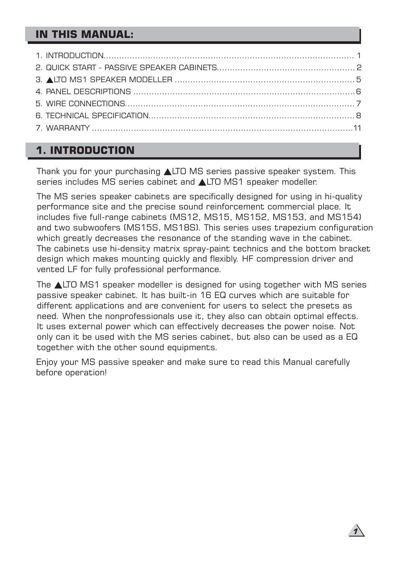### **1. INTRODUCTION**

Thank you for your purchasing LTO MS series passive speaker system. This series includes MS series cabinet and **ALTO MS1** speaker modeller.

The MS series speaker cabinets are specifically designed for using in hi-quality performance site and the precise sound reinforcement commercial place. It includes five full-range cabinets (MS12, MS15, MS152, MS153, and MS154) and two subwoofers (MS15S, MS18S). This series uses trapezium configuration which greatly decreases the resonance of the standing wave in the cabinet. The cabinets use hi-density matrix spray-paint technics and the bottom bracket design which makes mounting quickly and flexibly. HF compression driver and vented LF for fully professional performance.

The LTO MS1 speaker modeller is designed for using together with MS series passive speaker cabinet. It has built-in 16 EQ curves which are suitable for different applications and are convenient for users to select the presets as need. When the nonprofessionals use it, they also can obtain optimal effects. It uses external power which can effectively decreases the power noise. Not only can it be used with the MS series cabinet, but also can be used as a EQ together with the other sound equipments.

Enjoy your MS passive speaker and make sure to read this Manual carefully before operation!

*1*

 $\mathbf{I}$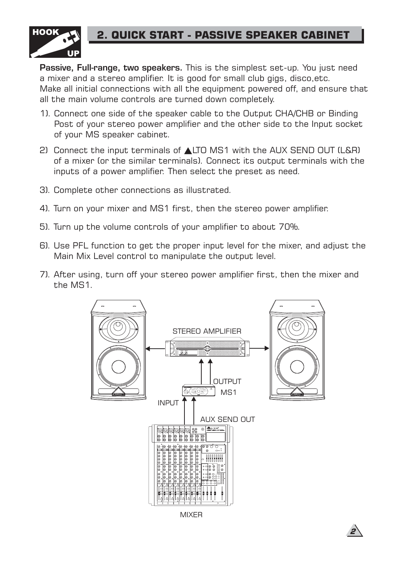

### **2. QUICK START - PASSIVE SPEAKER CABINET**

**Passive, Full-range, two speakers.** This is the simplest set-up. You just need a mixer and a stereo amplifier. It is good for small club gigs, disco,etc. Make all initial connections with all the equipment powered off, and ensure that all the main volume controls are turned down completely.

- 1). Connect one side of the speaker cable to the Output CHA/CHB or Binding Post of your stereo power amplifier and the other side to the Input socket of your MS speaker cabinet.
- 2) Connect the input terminals of  $\triangle$ LTO MS1 with the AUX SEND OUT (L&R) of a mixer (or the similar terminals). Connect its output terminals with the inputs of a power amplifier. Then select the preset as need.
- 3). Complete other connections as illustrated.
- 4). Turn on your mixer and MS1 first, then the stereo power amplifier.
- 5). Turn up the volume controls of your amplifier to about 70%.
- 6). Use PFL function to get the proper input level for the mixer, and adjust the Main Mix Level control to manipulate the output level.
- 7). After using, turn off your stereo power amplifier first, then the mixer and the MS1.



MIXER

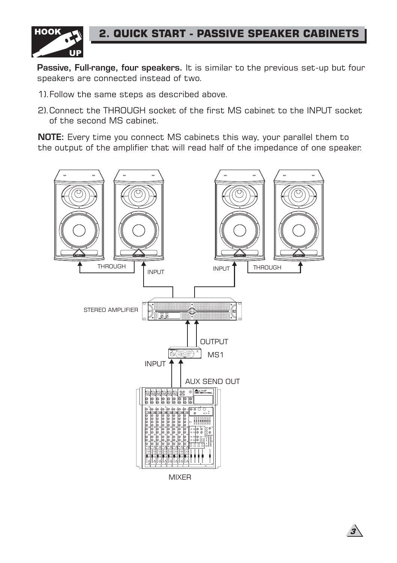

### **2. QUICK START - PASSIVE SPEAKER CABINETS**

Passive, Full-range, four speakers. It is similar to the previous set-up but four speakers are connected instead of two.

- 1).Follow the same steps as described above.
- 2).Connect the THROUGH socket of the first MS cabinet to the INPUT socket of the second MS cabinet.

NOTE: Every time you connect MS cabinets this way, your parallel them to the output of the amplifier that will read half of the impedance of one speaker.



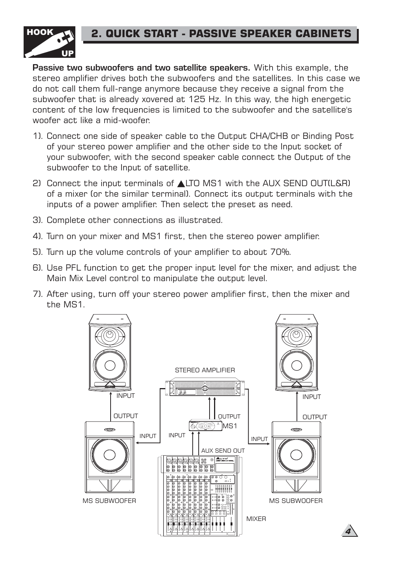### **2. QUICK START - PASSIVE SPEAKER CABINETS**



Passive two subwoofers and two satellite speakers. With this example, the stereo amplifier drives both the subwoofers and the satellites. In this case we do not call them full-range anymore because they receive a signal from the subwoofer that is already xovered at 125 Hz. In this way, the high energetic content of the low frequencies is limited to the subwoofer and the satellite's woofer act like a mid-woofer.

- 1). Connect one side of speaker cable to the Output CHA/CHB or Binding Post of your stereo power amplifier and the other side to the Input socket of your subwoofer, with the second speaker cable connect the Output of the subwoofer to the Input of satellite.
- 2) Connect the input terminals of **ALTO MS1** with the AUX SEND OUT(L&R) of a mixer (or the similar terminal). Connect its output terminals with the inputs of a power amplifier. Then select the preset as need.
- 3). Complete other connections as illustrated.
- 4). Turn on your mixer and MS1 first, then the stereo power amplifier.
- 5). Turn up the volume controls of your amplifier to about 70%.
- 6). Use PFL function to get the proper input level for the mixer, and adjust the Main Mix Level control to manipulate the output level.
- 7). After using, turn off your stereo power amplifier first, then the mixer and the MS1.



*4*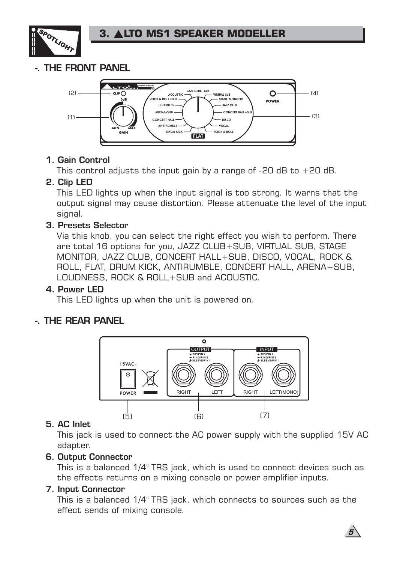

### -. THE FRONT PANEL



#### 1. Gain Control

This control adjusts the input gain by a range of  $-20$  dB to  $+20$  dB.

#### 2. Clip LED

This LED lights up when the input signal is too strong. It warns that the output signal may cause distortion. Please attenuate the level of the input signal.

#### 3. Presets Selector

Via this knob, you can select the right effect you wish to perform. There are total 16 options for you, JAZZ CLUB+SUB, VIRTUAL SUB, STAGE MONITOR, JAZZ CLUB, CONCERT HALL+SUB, DISCO, VOCAL, ROCK & ROLL, FLAT, DRUM KICK, ANTIRUMBLE, CONCERT HALL, ARENA+SUB, LOUDNESS, ROCK & ROLL+SUB and ACOUSTIC.

#### 4. Power LED

This LED lights up when the unit is powered on.

#### -. THE REAR PANEL



#### 5. AC Inlet

This jack is used to connect the AC power supply with the supplied 15V AC adapter.

#### 6. Output Connector

This is a balanced 1/4" TRS jack, which is used to connect devices such as the effects returns on a mixing console or power amplifier inputs.

#### 7. Input Connector

This is a balanced 1/4" TRS jack, which connects to sources such as the effect sends of mixing console.

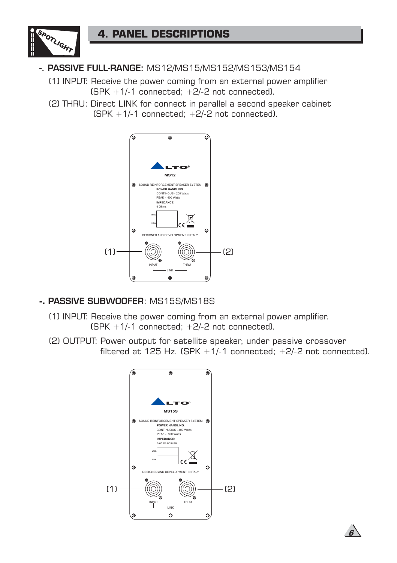

### -. PASSIVE FULL-RANGE: MS12/MS15/MS152/MS153/MS154

(1) INPUT: Receive the power coming from an external power amplifier  $(SPK + 1/-1$  connected;  $+2/-2$  not connected).

(2) THRU: Direct LINK for connect in parallel a second speaker cabinet  $(SPK + 1/-1$  connected:  $+2/-2$  not connected).



#### **-.** PASSIVE SUBWOOFER: MS15S/MS18S

- (1) INPUT: Receive the power coming from an external power amplifier.  $(SPK + 1/-1$  connected:  $+2/-2$  not connected).
- (2) OUTPUT: Power output for satellite speaker, under passive crossover filtered at 125 Hz.  $(SPK + 1/-1$  connected;  $+2/-2$  not connected).



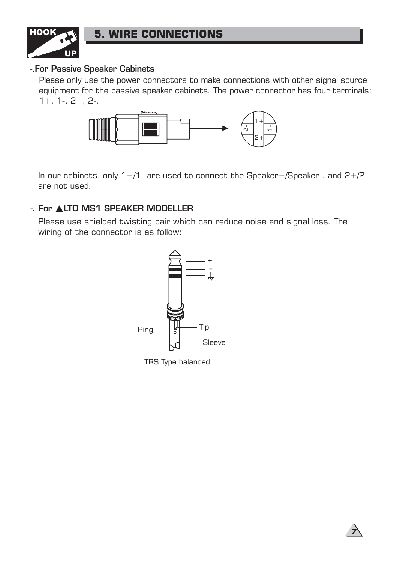

### **5. WIRE CONNECTIONS**

#### -.For Passive Speaker Cabinets

Please only use the power connectors to make connections with other signal source equipment for the passive speaker cabinets. The power connector has four terminals: 1+, 1-, 2+, 2-.



In our cabinets, only 1+/1- are used to connect the Speaker+/Speaker-, and 2+/2 are not used.

#### -. For **ALTO MS1 SPEAKER MODELLER**

Please use shielded twisting pair which can reduce noise and signal loss. The wiring of the connector is as follow:



TRS Type balanced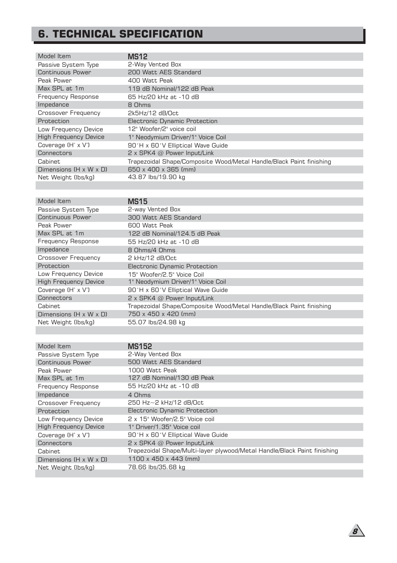## **6. TECHNICAL SPECIFICATION**

| Model Item                              | <b>MS12</b>                                                         |
|-----------------------------------------|---------------------------------------------------------------------|
| Passive System Type                     | 2-Way Vented Box                                                    |
| Continuous Power                        | 200 Watt AES Standard                                               |
| Peak Power                              | 400 Watt Peak                                                       |
| Max SPL at 1m                           | 119 dB Nominal/122 dB Peak                                          |
| <b>Frequency Response</b>               | 65 Hz/20 kHz at -10 dB                                              |
| Impedance                               | 8 Ohms                                                              |
| <b>Crossover Frequency</b>              | 2k5Hz/12 dB/Oct                                                     |
| Protection                              | <b>Electronic Dynamic Protection</b>                                |
| Low Frequency Device                    | 12" Woofer/2" voice coil                                            |
| <b>High Frequency Device</b>            | 1" Neodymium Driver/1" Voice Coil                                   |
| Coverage $(H^{\circ} \times V^{\circ})$ | 90°H x 60°V Elliptical Wave Guide                                   |
| Connectors                              | 2 x SPK4 @ Power Input/Link                                         |
| Cabinet                                 | Trapezoidal Shape/Composite Wood/Metal Handle/Black Paint finishing |
| Dimensions $(H \times W \times D)$      | 650 x 400 x 365 (mm)                                                |
| Net Weight (lbs/kg)                     | 43.87 lbs/19.90 kg                                                  |

| Model Item                         | <b>MS15</b>                                                         |
|------------------------------------|---------------------------------------------------------------------|
| Passive System Type                | 2-way Vented Box                                                    |
| Continuous Power                   | 300 Watt AES Standard                                               |
| Peak Power                         | 600 Watt Peak                                                       |
| Max SPL at 1m                      | 122 dB Nominal/124.5 dB Peak                                        |
| <b>Frequency Response</b>          | 55 Hz/20 kHz at -10 dB                                              |
| Impedance                          | 8 Ohms/4 Ohms                                                       |
| <b>Crossover Frequency</b>         | 2 kHz/12 dB/Oct                                                     |
| Protection                         | <b>Electronic Dynamic Protection</b>                                |
| Low Frequency Device               | 15" Woofer/2.5" Voice Coil                                          |
| <b>High Frequency Device</b>       | 1" Neodymium Driver/1" Voice Coil                                   |
| Coverage (H° x V°)                 | 90°H x 60°V Elliptical Wave Guide                                   |
| Connectors                         | 2 x SPK4 @ Power Input/Link                                         |
| Cabinet                            | Trapezoidal Shape/Composite Wood/Metal Handle/Black Paint finishing |
| Dimensions $(H \times W \times D)$ | 750 x 450 x 420 (mm)                                                |
| Net Weight (lbs/kg)                | 55.07 lbs/24.98 kg                                                  |

| Model Item                         | MS152                                                                    |
|------------------------------------|--------------------------------------------------------------------------|
| Passive System Type                | 2-Way Vented Box                                                         |
| <b>Continuous Power</b>            | 500 Watt AES Standard                                                    |
| Peak Power                         | 1000 Watt Peak                                                           |
| Max SPL at 1m                      | 127 dB Nominal/130 dB Peak                                               |
| <b>Frequency Response</b>          | 55 Hz/20 kHz at -10 dB                                                   |
| Impedance                          | 4 Ohms                                                                   |
| <b>Crossover Frequency</b>         | 250 Hz~2 kHz/12 dB/Oct                                                   |
| Protection                         | Electronic Dynamic Protection                                            |
| Low Frequency Device               | 2 x 15" Woofer/2.5" Voice coil                                           |
| <b>High Frequency Device</b>       | 1" Driver/1, 35" Voice coil                                              |
| Coverage (H° x V°)                 | 90°H x 60°V Elliptical Wave Guide                                        |
| Connectors                         | 2 x SPK4 @ Power Input/Link                                              |
| Cabinet                            | Trapezoidal Shape/Multi-layer plywood/Metal Handle/Black Paint finishing |
| Dimensions $(H \times W \times D)$ | 1100 x 450 x 443 (mm)                                                    |
| Net Weight (lbs/kg)                | 78.66 lbs/35.68 kg                                                       |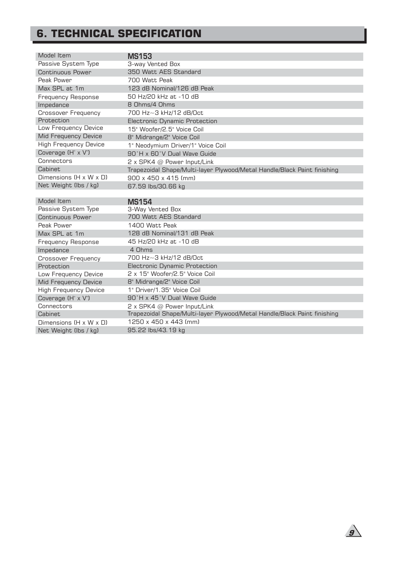## **6. TECHNICAL SPECIFICATION**

| Model Item                         | MS153                                                                    |
|------------------------------------|--------------------------------------------------------------------------|
| Passive System Type                | 3-way Vented Box                                                         |
| <b>Continuous Power</b>            | 350 Watt AES Standard                                                    |
| Peak Power                         | 700 Watt Peak                                                            |
| Max SPL at 1m                      | 123 dB Nominal/126 dB Peak                                               |
| <b>Frequency Response</b>          | 50 Hz/20 kHz at -10 dB                                                   |
| Impedance                          | 8 Ohms/4 Ohms                                                            |
| <b>Crossover Frequency</b>         | 700 Hz~3 kHz/12 dB/Oct                                                   |
| Protection                         | <b>Electronic Dynamic Protection</b>                                     |
| Low Frequency Device               | 15" Woofer/2.5" Voice Coil                                               |
| Mid Frequency Device               | 8" Midrange/2" Voice Coil                                                |
| <b>High Frequency Device</b>       | 1" Neodymium Driver/1" Voice Coil                                        |
| Coverage (H° x V°)                 | 90°H x 60°V Dual Wave Guide                                              |
| Connectors                         | 2 x SPK4 @ Power Input/Link                                              |
| <b>Cabinet</b>                     | Trapezoidal Shape/Multi-layer Plywood/Metal Handle/Black Paint finishing |
| Dimensions $(H \times W \times D)$ | 900 x 450 x 415 (mm)                                                     |
| Net Weight (lbs / kg)              | 67.59 lbs/30.66 kg                                                       |
|                                    |                                                                          |
| Model Item                         | <b>MS154</b>                                                             |
| Passive System Type                | 3-Way Vented Box                                                         |
| Continuous Power                   | 700 Watt AES Standard                                                    |
| Peak Power                         | 1400 Watt Peak                                                           |
| Max SPL at 1m                      | 128 dB Nominal/131 dB Peak                                               |
| <b>Frequency Response</b>          | 45 Hz/20 kHz at -10 dB                                                   |
| Impedance                          | 4 Ohms                                                                   |
| Crossover Frequency                | 700 Hz~3 kHz/12 dB/Oct                                                   |
| Protection                         | <b>Electronic Dynamic Protection</b>                                     |
| Low Frequency Device               | 2 x 15" Woofer/2.5" Voice Coil                                           |
| Mid Frequency Device               | 8" Midrange/2" Voice Coil                                                |
| <b>High Frequency Device</b>       | 1" Driver/1.35" Voice Coil                                               |
| Coverage (H° x V°)                 | 90°H x 45°V Dual Wave Guide                                              |
| Connectors                         | 2 x SPK4 @ Power Input/Link                                              |
| <b>Cabinet</b>                     | Trapezoidal Shape/Multi-layer Plywood/Metal Handle/Black Paint finishing |
| Dimensions $(H \times W \times D)$ | 1250 x 450 x 443 (mm)                                                    |
| Net Weight (lbs / kg)              | 95.22 lbs/43.19 kg                                                       |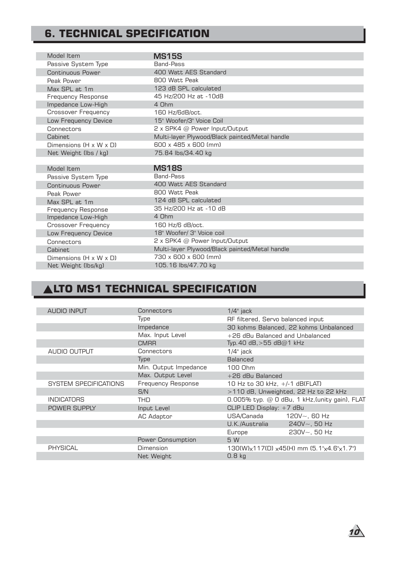### **6. TECHNICAL SPECIFICATION**

| Model Item                         | <b>MS15S</b>                                   |
|------------------------------------|------------------------------------------------|
| Passive System Type                | <b>Band-Pass</b>                               |
| Continuous Power                   | 400 Watt AES Standard                          |
| Peak Power                         | 800 Watt Peak                                  |
| Max SPL at 1m                      | 123 dB SPL calculated                          |
| <b>Frequency Response</b>          | 45 Hz/200 Hz at -10dB                          |
| Impedance Low-High                 | 4 Ohm                                          |
| Crossover Frequency                | 160 Hz/6dB/oct.                                |
| Low Frequency Device               | 15" Woofer/3" Voice Coil                       |
| Connectors                         | 2 x SPK4 @ Power Input/Output                  |
| <b>Cabinet</b>                     | Multi-layer Plywood/Black painted/Metal handle |
| Dimensions $(H \times W \times D)$ | 600 x 485 x 600 (mm)                           |
| Net Weight (lbs / kg)              | 75.84 lbs/34.40 kg                             |
|                                    |                                                |
| Model Item                         | <b>MS18S</b>                                   |
| Passive System Type                | <b>Band-Pass</b>                               |
| Continuous Power                   | 400 Watt AES Standard                          |
| Peak Power                         | 800 Watt Peak                                  |
| Max SPL at 1m                      | 124 dB SPL calculated                          |
| <b>Frequency Response</b>          | 35 Hz/200 Hz at -10 dB                         |
| Impedance Low-High                 | 4 Ohm                                          |
| <b>Crossover Frequency</b>         | 160 Hz/6 dB/oct.                               |
| Low Frequency Device               | 18" Woofer/ 3" Voice coil                      |
| Connectors                         | 2 x SPK4 @ Power Input/Output                  |
| <b>Cabinet</b>                     | Multi-layer Plywood/Black painted/Metal handle |
| Dimensions $(H \times W \times D)$ | 730 x 600 x 600 (mm)                           |
|                                    |                                                |
| Net Weight (lbs/kg)                | 105.16 lbs/47.70 kg                            |

## **ALTO MS1 TECHNICAL SPECIFICATION**

|  | <b>AUDIO INPUT</b>    | Connectors                | $1/4$ " jack                                   |
|--|-----------------------|---------------------------|------------------------------------------------|
|  |                       | Type                      | RF filtered, Servo balanced input              |
|  |                       | Impedance                 | 30 kohms Balanced, 22 kohms Unbalanced         |
|  |                       | Max. Input Level          | +26 dBu Balanced and Unbalanced                |
|  |                       | <b>CMRR</b>               | Typ. 40 dB, > 55 dB@1 kHz                      |
|  | AUDIO OUTPUT          | Connectors                | $1/4$ " jack                                   |
|  |                       | Type                      | Balanced                                       |
|  |                       | Min. Output Impedance     | 100 Ohm                                        |
|  |                       | Max. Output Level         | +26 dBu Balanced                               |
|  | SYSTEM SPECIFICATIONS | <b>Frequency Response</b> | 10 Hz to 30 kHz, +/-1 dB(FLAT)                 |
|  |                       | S/N                       | >110 dB, Unweighted, 22 Hz to 22 kHz           |
|  | <b>INDICATORS</b>     | THD                       | 0.005% typ. @ 0 dBu, 1 kHz, (unity gain), FLAT |
|  | POWER SUPPLY          | Input Level               | CLIP LED Display: +7 dBu                       |
|  |                       | AC Adaptor                | USA/Canada<br>$120V - 60 Hz$                   |
|  |                       |                           | U.K./Australia<br>$240V - 50 Hz$               |
|  |                       |                           | $230V - 50 Hz$<br>Europe                       |
|  |                       | <b>Power Consumption</b>  | 5 W                                            |
|  | PHYSICAL              | Dimension                 | 130(W)x117(D) x45(H) mm (5.1"x4.6"x1.7")       |
|  |                       | Net Weight                | 0.8 <sub>kg</sub>                              |
|  |                       |                           |                                                |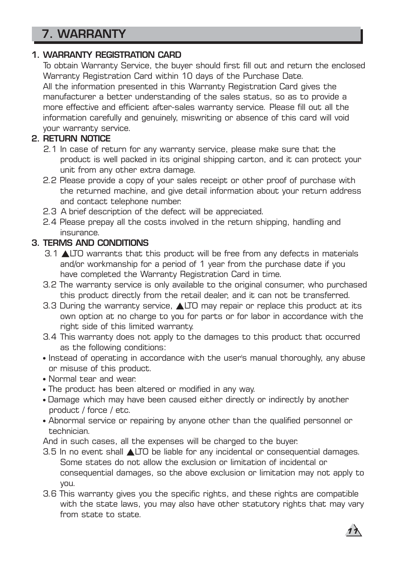# 7. WARRANTY

#### 1. WARRANTY REGISTRATION CARD

To obtain Warranty Service, the buyer should first fill out and return the enclosed Warranty Registration Card within 10 days of the Purchase Date. All the information presented in this Warranty Registration Card gives the manufacturer a better understanding of the sales status, so as to provide a more effective and efficient after-sales warranty service. Please fill out all the information carefully and genuinely, miswriting or absence of this card will void your warranty service.

### 2. RETURN NOTICE

- 2.1 In case of return for any warranty service, please make sure that the product is well packed in its original shipping carton, and it can protect your unit from any other extra damage.
- 2.2 Please provide a copy of your sales receipt or other proof of purchase with the returned machine, and give detail information about your return address and contact telephone number.
- 2.3 A brief description of the defect will be appreciated.
- 2.4 Please prepay all the costs involved in the return shipping, handling and insurance.

#### 3. TERMS AND CONDITIONS

- $3.1$   $\triangle$ LTO warrants that this product will be free from any defects in materials and/or workmanship for a period of 1 year from the purchase date if you have completed the Warranty Registration Card in time.
- 3.2 The warranty service is only available to the original consumer, who purchased this product directly from the retail dealer, and it can not be transferred.
- 3.3 During the warranty service,  $\blacktriangle$ LTO may repair or replace this product at its own option at no charge to you for parts or for labor in accordance with the right side of this limited warranty.
- 3.4 This warranty does not apply to the damages to this product that occurred as the following conditions:
- Instead of operating in accordance with the user's manual thoroughly, any abuse or misuse of this product.
- Normal tear and wear.
- The product has been altered or modified in any way.
- Damage which may have been caused either directly or indirectly by another product / force / etc.
- Abnormal service or repairing by anyone other than the qualified personnel or technician.

And in such cases, all the expenses will be charged to the buyer.

- $3.5$  In no event shall  $\triangle$ LTO be liable for any incidental or consequential damages. Some states do not allow the exclusion or limitation of incidental or consequential damages, so the above exclusion or limitation may not apply to you.
- 3.6 This warranty gives you the specific rights, and these rights are compatible with the state laws, you may also have other statutory rights that may vary from state to state.